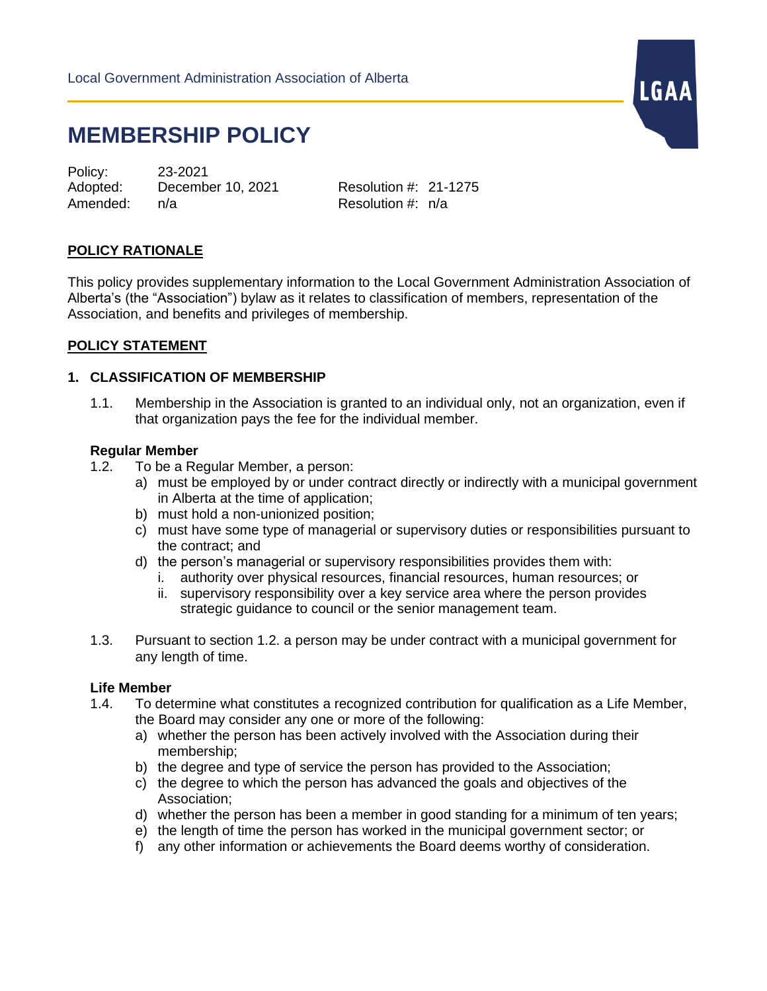# **MEMBERSHIP POLICY**

Policy: 23-2021 Adopted: December 10, 2021 Resolution #: 21-1275 Amended: n/a Resolution #: n/a

LGAA

## **POLICY RATIONALE**

This policy provides supplementary information to the Local Government Administration Association of Alberta's (the "Association") bylaw as it relates to classification of members, representation of the Association, and benefits and privileges of membership.

## **POLICY STATEMENT**

#### **1. CLASSIFICATION OF MEMBERSHIP**

1.1. Membership in the Association is granted to an individual only, not an organization, even if that organization pays the fee for the individual member.

#### **Regular Member**

- 1.2. To be a Regular Member, a person:
	- a) must be employed by or under contract directly or indirectly with a municipal government in Alberta at the time of application;
	- b) must hold a non-unionized position;
	- c) must have some type of managerial or supervisory duties or responsibilities pursuant to the contract; and
	- d) the person's managerial or supervisory responsibilities provides them with:
		- i. authority over physical resources, financial resources, human resources; or
		- ii. supervisory responsibility over a key service area where the person provides strategic guidance to council or the senior management team.
- 1.3. Pursuant to section 1.2. a person may be under contract with a municipal government for any length of time.

#### **Life Member**

- 1.4. To determine what constitutes a recognized contribution for qualification as a Life Member, the Board may consider any one or more of the following:
	- a) whether the person has been actively involved with the Association during their membership;
	- b) the degree and type of service the person has provided to the Association;
	- c) the degree to which the person has advanced the goals and objectives of the Association;
	- d) whether the person has been a member in good standing for a minimum of ten years;
	- e) the length of time the person has worked in the municipal government sector; or
	- f) any other information or achievements the Board deems worthy of consideration.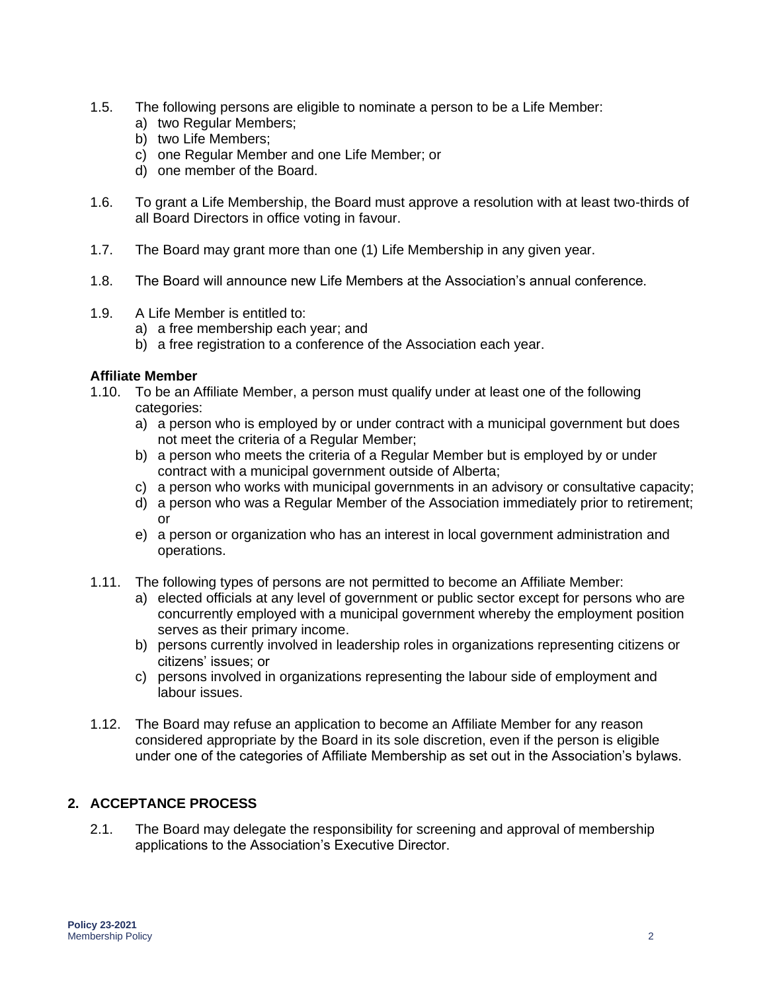- 1.5. The following persons are eligible to nominate a person to be a Life Member:
	- a) two Regular Members;
	- b) two Life Members;
	- c) one Regular Member and one Life Member; or
	- d) one member of the Board.
- 1.6. To grant a Life Membership, the Board must approve a resolution with at least two-thirds of all Board Directors in office voting in favour.
- 1.7. The Board may grant more than one (1) Life Membership in any given year.
- 1.8. The Board will announce new Life Members at the Association's annual conference.
- 1.9. A Life Member is entitled to:
	- a) a free membership each year; and
	- b) a free registration to a conference of the Association each year.

#### **Affiliate Member**

- 1.10. To be an Affiliate Member, a person must qualify under at least one of the following categories:
	- a) a person who is employed by or under contract with a municipal government but does not meet the criteria of a Regular Member;
	- b) a person who meets the criteria of a Regular Member but is employed by or under contract with a municipal government outside of Alberta;
	- c) a person who works with municipal governments in an advisory or consultative capacity;
	- d) a person who was a Regular Member of the Association immediately prior to retirement; or
	- e) a person or organization who has an interest in local government administration and operations.
- 1.11. The following types of persons are not permitted to become an Affiliate Member:
	- a) elected officials at any level of government or public sector except for persons who are concurrently employed with a municipal government whereby the employment position serves as their primary income.
	- b) persons currently involved in leadership roles in organizations representing citizens or citizens' issues; or
	- c) persons involved in organizations representing the labour side of employment and labour issues.
- 1.12. The Board may refuse an application to become an Affiliate Member for any reason considered appropriate by the Board in its sole discretion, even if the person is eligible under one of the categories of Affiliate Membership as set out in the Association's bylaws.

# **2. ACCEPTANCE PROCESS**

2.1. The Board may delegate the responsibility for screening and approval of membership applications to the Association's Executive Director.